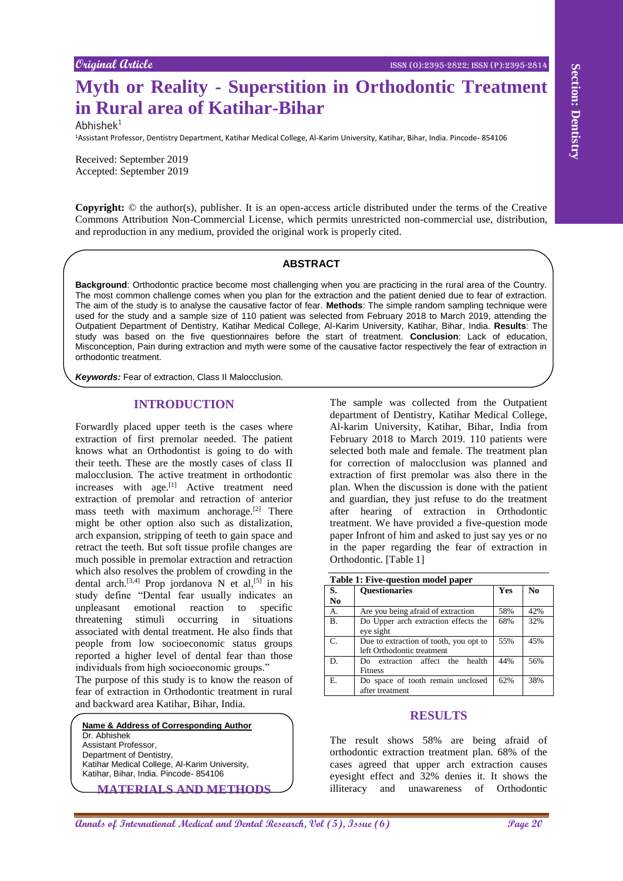# **Myth or Reality - Superstition in Orthodontic Treatment in Rural area of Katihar-Bihar**

 $Abhishek<sup>1</sup>$ 

<sup>1</sup>Assistant Professor, Dentistry Department, Katihar Medical College, Al-Karim University, Katihar, Bihar, India. Pincode- 854106

Received: September 2019 Accepted: September 2019

**Copyright:** © the author(s), publisher. It is an open-access article distributed under the terms of the Creative Commons Attribution Non-Commercial License, which permits unrestricted non-commercial use, distribution, and reproduction in any medium, provided the original work is properly cited.

#### **ABSTRACT**

**Background**: Orthodontic practice become most challenging when you are practicing in the rural area of the Country. The most common challenge comes when you plan for the extraction and the patient denied due to fear of extraction. The aim of the study is to analyse the causative factor of fear. **Methods**: The simple random sampling technique were used for the study and a sample size of 110 patient was selected from February 2018 to March 2019, attending the Outpatient Department of Dentistry, Katihar Medical College, Al-Karim University, Katihar, Bihar, India. **Results**: The study was based on the five questionnaires before the start of treatment. **Conclusion**: Lack of education, Misconception, Pain during extraction and myth were some of the causative factor respectively the fear of extraction in orthodontic treatment.

*Keywords:* Fear of extraction, Class II Malocclusion.

## **INTRODUCTION**

**Annual and Conservational and Conservational and Conservation in the section of Conservation in the Conservation of Conservation in the Conservation of Conservation in the Conservation of Conservation in the Conservation** Forwardly placed upper teeth is the cases where extraction of first premolar needed. The patient knows what an Orthodontist is going to do with their teeth. These are the mostly cases of class II malocclusion. The active treatment in orthodontic increases with age.<sup>[1]</sup> Active treatment need extraction of premolar and retraction of anterior mass teeth with maximum anchorage.<sup>[2]</sup> There might be other option also such as distalization, arch expansion, stripping of teeth to gain space and retract the teeth. But soft tissue profile changes are much possible in premolar extraction and retraction which also resolves the problem of crowding in the dental arch.<sup>[3,4]</sup> Prop jordanova N et al,<sup>[5]</sup> in his study define "Dental fear usually indicates an unpleasant emotional reaction to specific threatening stimuli occurring in situations associated with dental treatment. He also finds that people from low socioeconomic status groups reported a higher level of dental fear than those individuals from high socioeconomic groups."

The purpose of this study is to know the reason of fear of extraction in Orthodontic treatment in rural and backward area Katihar, Bihar, India.

**Name & Address of Corresponding Author**

Dr. Abhishek Assistant Professor, Department of Dentistry, Katihar Medical College, Al-Karim University, Katihar, Bihar, India. Pincode- 854106

**MATERIALS AND METHODS**

The sample was collected from the Outpatient department of Dentistry, Katihar Medical College, Al-karim University, Katihar, Bihar, India from February 2018 to March 2019. 110 patients were selected both male and female. The treatment plan for correction of malocclusion was planned and extraction of first premolar was also there in the plan. When the discussion is done with the patient and guardian, they just refuse to do the treatment after hearing of extraction in Orthodontic treatment. We have provided a five-question mode paper Infront of him and asked to just say yes or no in the paper regarding the fear of extraction in Orthodontic. [Table 1]

|    | Table 1: Five-question model paper |
|----|------------------------------------|
| S. | <b>Cuestionaries</b>               |

| S.              | <b>Ouestionaries</b>                   | <b>Yes</b> | N <sub>0</sub> |
|-----------------|----------------------------------------|------------|----------------|
| No              |                                        |            |                |
| A.              | Are you being afraid of extraction     | 58%        | 42%            |
| <b>B.</b>       | Do Upper arch extraction effects the   | 68%        | 32%            |
|                 | eve sight                              |            |                |
| $\mathcal{C}$ . | Due to extraction of tooth, you opt to | 55%        | 45%            |
|                 | left Orthodontic treatment             |            |                |
| D.              | Do extraction affect the health        | 44%        | 56%            |
|                 | <b>Fitness</b>                         |            |                |
| E.              | Do space of tooth remain unclosed      | 62%        | 38%            |
|                 | after treatment                        |            |                |

## **RESULTS**

The result shows 58% are being afraid of orthodontic extraction treatment plan. 68% of the cases agreed that upper arch extraction causes eyesight effect and 32% denies it. It shows the illiteracy and unawareness of Orthodontic